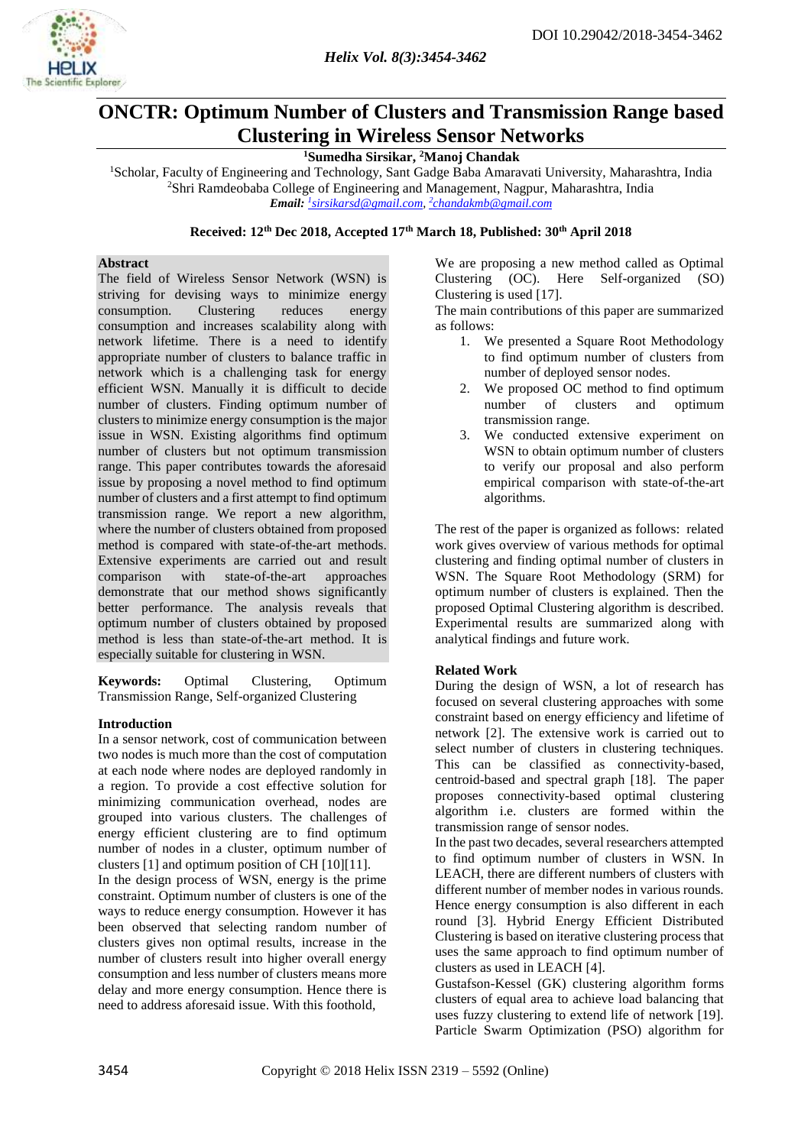

## **ONCTR: Optimum Number of Clusters and Transmission Range based Clustering in Wireless Sensor Networks**

## **<sup>1</sup>Sumedha Sirsikar, <sup>2</sup>Manoj Chandak**

<sup>1</sup>Scholar, Faculty of Engineering and Technology, Sant Gadge Baba Amaravati University, Maharashtra, India <sup>2</sup>Shri Ramdeobaba College of Engineering and Management, Nagpur, Maharashtra, India *Email: <sup>1</sup> [sirsikarsd@gmail.com,](mailto:1sirsikarsd@gmail.com)  2 [chandakmb@gmail.com](mailto:2chandakmb@gmail.com)*

## **Received: 12th Dec 2018, Accepted 17th March 18, Published: 30 th April 2018**

### **Abstract**

The field of Wireless Sensor Network (WSN) is striving for devising ways to minimize energy consumption. Clustering reduces energy consumption and increases scalability along with network lifetime. There is a need to identify appropriate number of clusters to balance traffic in network which is a challenging task for energy efficient WSN. Manually it is difficult to decide number of clusters. Finding optimum number of clusters to minimize energy consumption is the major issue in WSN. Existing algorithms find optimum number of clusters but not optimum transmission range. This paper contributes towards the aforesaid issue by proposing a novel method to find optimum number of clusters and a first attempt to find optimum transmission range. We report a new algorithm, where the number of clusters obtained from proposed method is compared with state-of-the-art methods. Extensive experiments are carried out and result comparison with state-of-the-art approaches demonstrate that our method shows significantly better performance. The analysis reveals that optimum number of clusters obtained by proposed method is less than state-of-the-art method. It is especially suitable for clustering in WSN.

**Keywords:** Optimal Clustering, Optimum Transmission Range, Self-organized Clustering

## **Introduction**

In a sensor network, cost of communication between two nodes is much more than the cost of computation at each node where nodes are deployed randomly in a region. To provide a cost effective solution for minimizing communication overhead, nodes are grouped into various clusters. The challenges of energy efficient clustering are to find optimum number of nodes in a cluster, optimum number of clusters [1] and optimum position of CH [10][11]. In the design process of WSN, energy is the prime

constraint. Optimum number of clusters is one of the ways to reduce energy consumption. However it has been observed that selecting random number of clusters gives non optimal results, increase in the number of clusters result into higher overall energy consumption and less number of clusters means more delay and more energy consumption. Hence there is need to address aforesaid issue. With this foothold,

We are proposing a new method called as Optimal Clustering (OC). Here Self-organized (SO) Clustering is used [17].

The main contributions of this paper are summarized as follows:

- 1. We presented a Square Root Methodology to find optimum number of clusters from number of deployed sensor nodes.
- 2. We proposed OC method to find optimum number of clusters and optimum transmission range.
- 3. We conducted extensive experiment on WSN to obtain optimum number of clusters to verify our proposal and also perform empirical comparison with state-of-the-art algorithms.

The rest of the paper is organized as follows: related work gives overview of various methods for optimal clustering and finding optimal number of clusters in WSN. The Square Root Methodology (SRM) for optimum number of clusters is explained. Then the proposed Optimal Clustering algorithm is described. Experimental results are summarized along with analytical findings and future work.

## **Related Work**

During the design of WSN, a lot of research has focused on several clustering approaches with some constraint based on energy efficiency and lifetime of network [2]. The extensive work is carried out to select number of clusters in clustering techniques. This can be classified as connectivity-based, centroid-based and spectral graph [18]. The paper proposes connectivity-based optimal clustering algorithm i.e. clusters are formed within the transmission range of sensor nodes.

In the past two decades, several researchers attempted to find optimum number of clusters in WSN. In LEACH, there are different numbers of clusters with different number of member nodes in various rounds. Hence energy consumption is also different in each round [3]. Hybrid Energy Efficient Distributed Clustering is based on iterative clustering process that uses the same approach to find optimum number of clusters as used in LEACH [4].

Gustafson-Kessel (GK) clustering algorithm forms clusters of equal area to achieve load balancing that uses fuzzy clustering to extend life of network [19]. Particle Swarm Optimization (PSO) algorithm for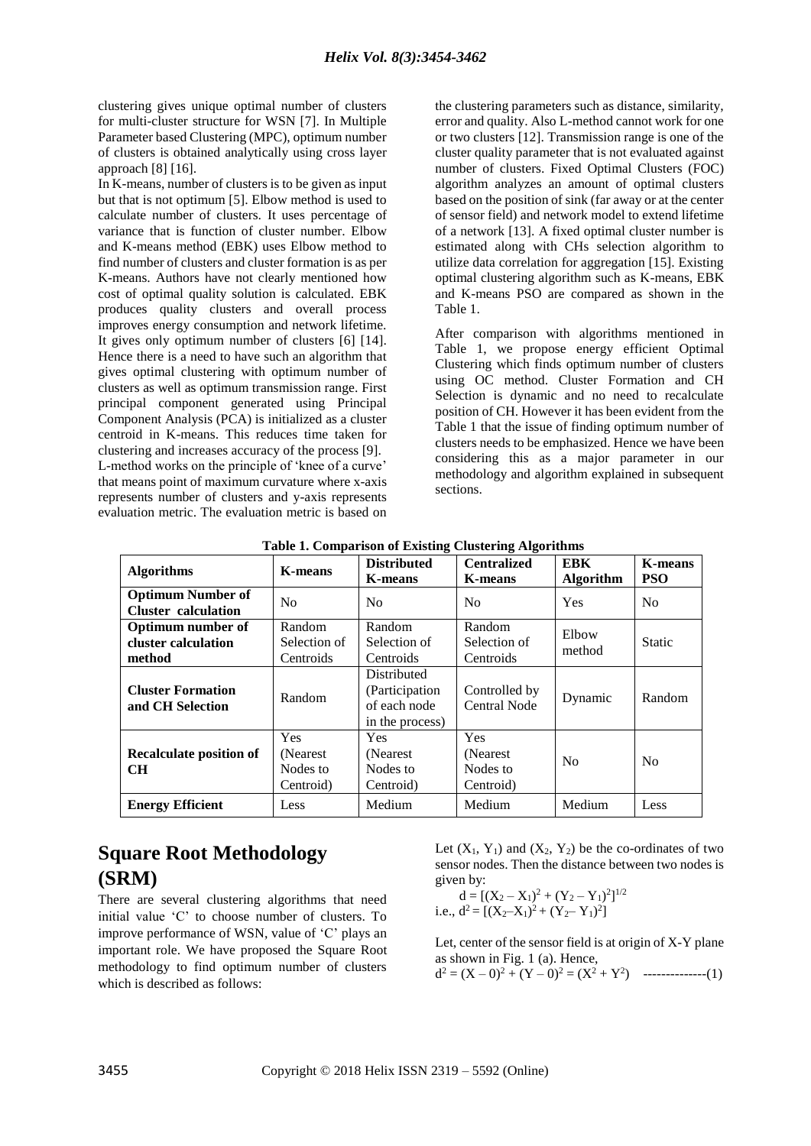clustering gives unique optimal number of clusters for multi-cluster structure for WSN [7]. In Multiple Parameter based Clustering (MPC), optimum number of clusters is obtained analytically using cross layer approach [8] [16].

In K-means, number of clusters is to be given as input but that is not optimum [5]. Elbow method is used to calculate number of clusters. It uses percentage of variance that is function of cluster number. Elbow and K-means method (EBK) uses Elbow method to find number of clusters and cluster formation is as per K-means. Authors have not clearly mentioned how cost of optimal quality solution is calculated. EBK produces quality clusters and overall process improves energy consumption and network lifetime. It gives only optimum number of clusters [6] [14]. Hence there is a need to have such an algorithm that gives optimal clustering with optimum number of clusters as well as optimum transmission range. First principal component generated using Principal Component Analysis (PCA) is initialized as a cluster centroid in K-means. This reduces time taken for clustering and increases accuracy of the process [9]. L-method works on the principle of 'knee of a curve' that means point of maximum curvature where x-axis represents number of clusters and y-axis represents evaluation metric. The evaluation metric is based on the clustering parameters such as distance, similarity, error and quality. Also L-method cannot work for one or two clusters [12]. Transmission range is one of the cluster quality parameter that is not evaluated against number of clusters. Fixed Optimal Clusters (FOC) algorithm analyzes an amount of optimal clusters based on the position of sink (far away or at the center of sensor field) and network model to extend lifetime of a network [13]. A fixed optimal cluster number is estimated along with CHs selection algorithm to utilize data correlation for aggregation [15]. Existing optimal clustering algorithm such as K-means, EBK and K-means PSO are compared as shown in the Table 1.

After comparison with algorithms mentioned in Table 1, we propose energy efficient Optimal Clustering which finds optimum number of clusters using OC method. Cluster Formation and CH Selection is dynamic and no need to recalculate position of CH. However it has been evident from the Table 1 that the issue of finding optimum number of clusters needs to be emphasized. Hence we have been considering this as a major parameter in our methodology and algorithm explained in subsequent sections.

| <b>Algorithms</b>                                         | <b>K-means</b>                                   | <b>Distributed</b><br><b>K-means</b>                              | <b>Centralized</b><br><b>K-means</b>             | <b>EBK</b><br><b>Algorithm</b> | <b>K-means</b><br><b>PSO</b> |
|-----------------------------------------------------------|--------------------------------------------------|-------------------------------------------------------------------|--------------------------------------------------|--------------------------------|------------------------------|
| <b>Optimum Number of</b><br><b>Cluster</b> calculation    | N <sub>0</sub>                                   | N <sub>0</sub>                                                    | N <sub>0</sub>                                   | <b>Yes</b>                     | No                           |
| <b>Optimum number of</b><br>cluster calculation<br>method | Random<br>Selection of<br>Centroids              | Random<br>Selection of<br>Centroids                               | Random<br>Selection of<br>Centroids              | Elbow<br>method                | <b>Static</b>                |
| <b>Cluster Formation</b><br>and CH Selection              | Random                                           | Distributed<br>(Participation)<br>of each node<br>in the process) | Controlled by<br><b>Central Node</b>             | Dynamic                        | Random                       |
| Recalculate position of<br><b>CH</b>                      | <b>Yes</b><br>(Nearest)<br>Nodes to<br>Centroid) | <b>Yes</b><br>(Nearest)<br>Nodes to<br>Centroid)                  | <b>Yes</b><br>(Nearest)<br>Nodes to<br>Centroid) | No                             | No                           |
| <b>Energy Efficient</b>                                   | Less                                             | Medium                                                            | Medium                                           | Medium                         | Less                         |

**Table 1. Comparison of Existing Clustering Algorithms**

# **Square Root Methodology (SRM)**

There are several clustering algorithms that need initial value 'C' to choose number of clusters. To improve performance of WSN, value of 'C' plays an important role. We have proposed the Square Root methodology to find optimum number of clusters which is described as follows:

Let  $(X_1, Y_1)$  and  $(X_2, Y_2)$  be the co-ordinates of two sensor nodes. Then the distance between two nodes is given by:

$$
d = [(X_2 - X_1)^2 + (Y_2 - Y_1)^2]^{1/2}
$$
  
i.e.,  $d^2 = [(X_2 - X_1)^2 + (Y_2 - Y_1)^2]$ 

Let, center of the sensor field is at origin of X-Y plane as shown in Fig. 1 (a). Hence,

 $d^{2} = (X - 0)^{2} + (Y - 0)^{2} = (X^{2} + Y^{2})$  ---------------(1)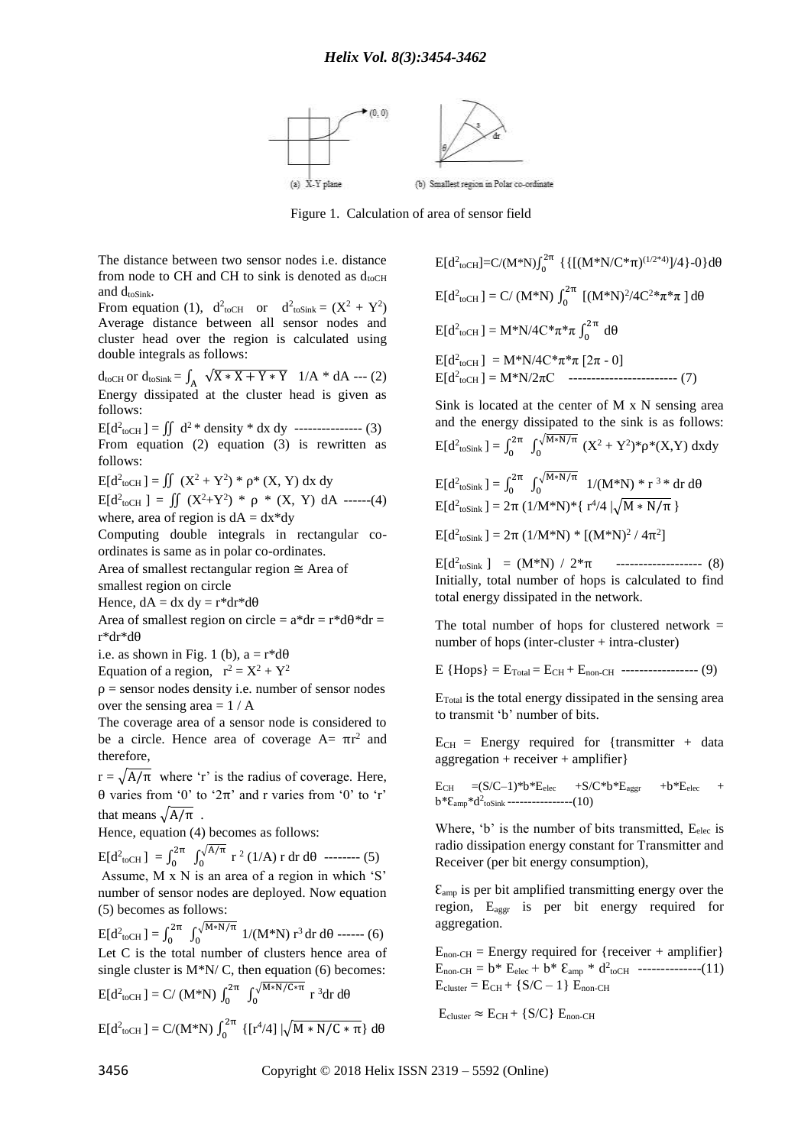

Figure 1. Calculation of area of sensor field

The distance between two sensor nodes i.e. distance from node to CH and CH to sink is denoted as  $d_{toCH}$ and  $d_{\text{toSink}}$ .

From equation (1),  $d^2_{\text{toCH}}$  or  $d^2_{\text{toSink}} = (X^2 + Y^2)$ Average distance between all sensor nodes and cluster head over the region is calculated using double integrals as follows:

 $d_{\text{toCH}}$  or  $d_{\text{toSink}} = \int_A \sqrt{X * X + Y * Y}$  1/A \* dA --- (2) Energy dissipated at the cluster head is given as follows:

 $E[d<sup>2</sup>_{toCH}] = \iint d<sup>2</sup> * density * dx dy$  --------------- (3) From equation (2) equation (3) is rewritten as follows:

 $E[d<sup>2</sup>_{toCH}] = \iint (X<sup>2</sup> + Y<sup>2</sup>) * \rho * (X, Y) dx dy$ 

 $E[d<sup>2</sup>_{toCH}] = \iint (X<sup>2</sup>+Y<sup>2</sup>) * \rho * (X, Y) dA$  ------(4) where, area of region is  $dA = dx^*dy$ 

Computing double integrals in rectangular coordinates is same as in polar co-ordinates.

Area of smallest rectangular region ≅ Area of smallest region on circle

Hence,  $dA = dx dy = r^*dr^*d\theta$ 

Area of smallest region on circle =  $a^*dr = r^*d\theta^*dr =$ r\*dr\*dθ

i.e. as shown in Fig. 1 (b),  $a = r^*d\theta$ 

Equation of a region,  $r^2 = X^2 + Y^2$ 

 $\rho$  = sensor nodes density i.e. number of sensor nodes over the sensing area  $= 1 / A$ 

The coverage area of a sensor node is considered to be a circle. Hence area of coverage  $A = \pi r^2$  and therefore,

 $r = \sqrt{A/\pi}$  where 'r' is the radius of coverage. Here, θ varies from '0' to '2π' and r varies from '0' to 'r' that means  $\sqrt{A/\pi}$ .

Hence, equation (4) becomes as follows:

 $E[d^2_{\text{toCH}}] = \int_0^{2\pi}$  $\int_0^{2\pi} \int_0^{\sqrt{A/\pi}}$  $\int_0^{\sqrt{A/\pi}} r^2 (1/A) r dr d\theta$  -------- (5) Assume, M x N is an area of a region in which 'S' number of sensor nodes are deployed. Now equation (5) becomes as follows:

 $E[d^2_{\text{toCH}}] = \int_0^{2\pi}$  $\int_0^{2\pi} \int_0^{\sqrt{M} * N/\pi}$  $1/(M*N)^3$  dr d $\theta$  ------ (6) Let C is the total number of clusters hence area of single cluster is  $M^*N/C$ , then equation (6) becomes:  $E[d^2_{\text{toCH}}] = C/(M^*N) \int_0^{2\pi}$  $\int_0^{2\pi} \int_0^{\sqrt{M} * N/C * \pi}$  $\int_0^{\sqrt{M^*N/C^*T}} r^3 dr d\theta$  $E[d^2_{\text{toCH}}] = C/(M^*N) \int_0^{2\pi}$ <sup>2π</sup> {[r<sup>4</sup>/4]  $|\sqrt{M * N/C * \pi}$ } dθ

 $E[d^2_{\text{toCH}}] = C/(M^*N)\int_0^{2\pi}$  $\int_0^{2\pi} {\{[(M*N/C*\pi)^{(1/2*4)}]/4\}}-0}{d\theta}$  $E[d^2_{\text{toCH}}] = C/(M^*N) \int_0^{2\pi}$  $\int_0^{2\pi}$  [(M\*N)<sup>2</sup>/4C<sup>2</sup>\*π\*π] dθ  $E[d^2_{\text{toCH}}] = M^*N/4C^* \pi^* \pi \int_0^{2\pi}$  $\int_0^{2\pi} d\theta$  $E[d^2_{\text{toCH}}] = M^*N/4C^* \pi^* \pi [2\pi - 0]$  $E[d<sup>2</sup><sub>toCH</sub>] = M*N/2\pi C$  -------------------------- (7)

Sink is located at the center of M x N sensing area and the energy dissipated to the sink is as follows:  $E[d^2_{\text{toSink}}] = \int_0^{2\pi}$  $\int_0^{2\pi} \int_0^{\sqrt{M} * N/\pi}$  $\int_{0}^{\sqrt{M^{*}N/T}} (X^{2} + Y^{2})^{*} \rho^{*}(X, Y) dxdy$  $E[d^2_{\text{toSink}}] = \int_0^{2\pi}$  $\int_0^{2\pi} \int_0^{\sqrt{M} * N/\pi}$  $\int_0^{\sqrt{M^*N/T}} 1/(M^*N)^* r^{3*} dr d\theta$  $E[d<sup>2</sup>$ <sub>toSink</sub>] = 2π (1/M\*N)\*{ r<sup>4</sup>/4  $\sqrt{M * N/\pi}$  }

 $E[d<sup>2</sup>$ <sub>toSink</sub>] = 2π (1/M\*N) \* [(M\*N)<sup>2</sup> / 4π<sup>2</sup>]

 $E[d<sup>2</sup>$ <sub>toSink</sub> ] = (M\*N) / 2\*π -------------------- (8) Initially, total number of hops is calculated to find total energy dissipated in the network.

The total number of hops for clustered network  $=$ number of hops (inter-cluster + intra-cluster)

 $E \{ Hops \} = E_{Total} = E_{CH} + E_{non-CH}$  ------------------ (9)

 $E_{\text{Total}}$  is the total energy dissipated in the sensing area to transmit 'b' number of bits.

 $E_{CH}$  = Energy required for {transmitter + data aggregation + receiver + amplifier}

$$
\begin{array}{lll}E_{CH}=&(S/C-1)*b*E_{elec} & +S/C*b*E_{aggr} & +b*E_{elec} & +\\&b*E_{amp}*d^2_{\text{toSink}}&\text{---}{\bf 10}\end{array}
$$

Where, 'b' is the number of bits transmitted,  $E_{elec}$  is radio dissipation energy constant for Transmitter and Receiver (per bit energy consumption),

 $\epsilon_{\text{amp}}$  is per bit amplified transmitting energy over the region, Eaggr is per bit energy required for aggregation.

 $E_{\text{non-CH}} =$  Energy required for {receiver + amplifier}  $E_{\text{non-CH}} = b^* E_{\text{elec}} + b^* E_{\text{amp}} * d_{\text{toCH}}$  --------------(11)  $E_{cluster} = E_{CH} + \{S/C - 1\} E_{non-CH}$ 

$$
E_{cluster} \approx E_{CH} + \{ S/C \} \ E_{non\text{-}CH}
$$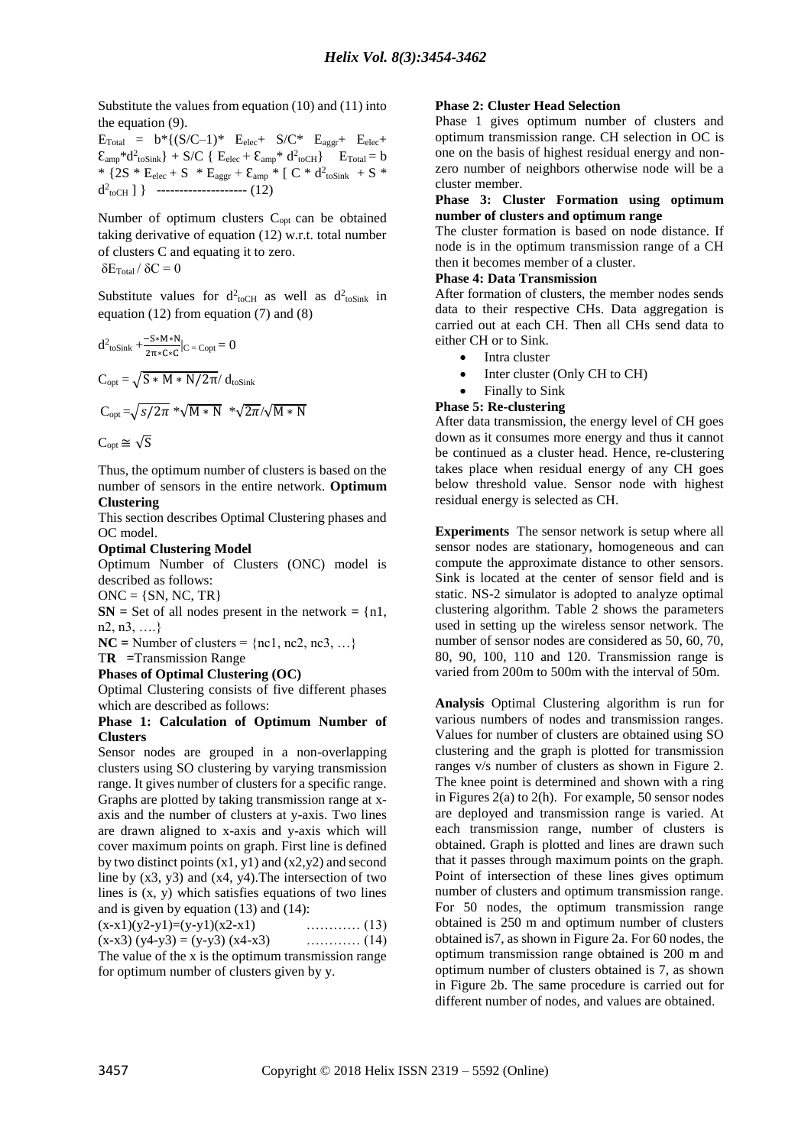Substitute the values from equation (10) and (11) into the equation (9).

 $E_{\text{Total}} = b^* \{ (S/C-1)^* \quad E_{\text{elec}}+ \quad S/C^* \quad E_{\text{ager}}+ \quad E_{\text{elec}}+ \quad$  $\mathcal{E}_{amp} * d^2_{toSink}$  + S/C {  $E_{elec} + \mathcal{E}_{amp} * d^2_{toCH}$ }  $E_{Total} = b$ \*  ${2S * E_{elec} + S * E_{aggr} + \varepsilon_{amp} * [C * d^2_{toSink} + S *]}$  $d^2_{\text{toCH}}$  ] } ---------------------- (12)

Number of optimum clusters C<sub>opt</sub> can be obtained taking derivative of equation (12) w.r.t. total number of clusters C and equating it to zero. δE $_{\rm Total}$  / δC  $= 0$ 

Substitute values for  $d^2_{\text{toCH}}$  as well as  $d^2_{\text{toSink}}$  in equation (12) from equation (7) and (8)

$$
d^{2} \text{toSink} + \frac{-S*M*N}{2\pi*C*C}|_{C} = \text{Copt} = 0
$$
  
\n
$$
C_{opt} = \sqrt{S*M*N/2\pi} / d_{\text{toSink}}
$$
  
\n
$$
C_{opt} = \sqrt{s/2\pi} * \sqrt{M*N} * \sqrt{2\pi} / \sqrt{M*N}
$$
  
\n
$$
C_{opt} \cong \sqrt{S}
$$

Thus, the optimum number of clusters is based on the number of sensors in the entire network. **Optimum Clustering** 

This section describes Optimal Clustering phases and OC model.

#### **Optimal Clustering Model**

Optimum Number of Clusters (ONC) model is described as follows:

 $ONC = \{SN, NC, TR\}$ 

**SN** = Set of all nodes present in the network  $= \{n1,$ n2, n3, ….}

 $NC =$  Number of clusters =  ${nc1, nc2, nc3, ...}$ 

T**R =**Transmission Range

**Phases of Optimal Clustering (OC)**

Optimal Clustering consists of five different phases which are described as follows:

#### **Phase 1: Calculation of Optimum Number of Clusters**

Sensor nodes are grouped in a non-overlapping clusters using SO clustering by varying transmission range. It gives number of clusters for a specific range. Graphs are plotted by taking transmission range at xaxis and the number of clusters at y-axis. Two lines are drawn aligned to x-axis and y-axis which will cover maximum points on graph. First line is defined by two distinct points  $(x1, y1)$  and  $(x2, y2)$  and second line by  $(x3, y3)$  and  $(x4, y4)$ . The intersection of two lines is  $(x, y)$  which satisfies equations of two lines and is given by equation (13) and (14):

| $(x-x1)(y2-y1)=(y-y1)(x2-x1)$                        |  |
|------------------------------------------------------|--|
| $(x-x3)(y4-y3) = (y-y3)(x4-x3)$                      |  |
| The value of the x is the optimum transmission range |  |
| for optimum number of clusters given by y.           |  |

#### **Phase 2: Cluster Head Selection**

Phase 1 gives optimum number of clusters and optimum transmission range. CH selection in OC is one on the basis of highest residual energy and nonzero number of neighbors otherwise node will be a cluster member.

#### **Phase 3: Cluster Formation using optimum number of clusters and optimum range**

The cluster formation is based on node distance. If node is in the optimum transmission range of a CH then it becomes member of a cluster.

#### **Phase 4: Data Transmission**

After formation of clusters, the member nodes sends data to their respective CHs. Data aggregation is carried out at each CH. Then all CHs send data to either CH or to Sink.

- Intra cluster
- Inter cluster (Only CH to CH)
- Finally to Sink

#### **Phase 5: Re-clustering**

After data transmission, the energy level of CH goes down as it consumes more energy and thus it cannot be continued as a cluster head. Hence, re-clustering takes place when residual energy of any CH goes below threshold value. Sensor node with highest residual energy is selected as CH.

**Experiments** The sensor network is setup where all sensor nodes are stationary, homogeneous and can compute the approximate distance to other sensors. Sink is located at the center of sensor field and is static. NS-2 simulator is adopted to analyze optimal clustering algorithm. Table 2 shows the parameters used in setting up the wireless sensor network. The number of sensor nodes are considered as 50, 60, 70, 80, 90, 100, 110 and 120. Transmission range is varied from 200m to 500m with the interval of 50m.

**Analysis** Optimal Clustering algorithm is run for various numbers of nodes and transmission ranges. Values for number of clusters are obtained using SO clustering and the graph is plotted for transmission ranges v/s number of clusters as shown in Figure 2. The knee point is determined and shown with a ring in Figures  $2(a)$  to  $2(h)$ . For example, 50 sensor nodes are deployed and transmission range is varied. At each transmission range, number of clusters is obtained. Graph is plotted and lines are drawn such that it passes through maximum points on the graph. Point of intersection of these lines gives optimum number of clusters and optimum transmission range. For 50 nodes, the optimum transmission range obtained is 250 m and optimum number of clusters obtained is7, as shown in Figure 2a. For 60 nodes, the optimum transmission range obtained is 200 m and optimum number of clusters obtained is 7, as shown in Figure 2b. The same procedure is carried out for different number of nodes, and values are obtained.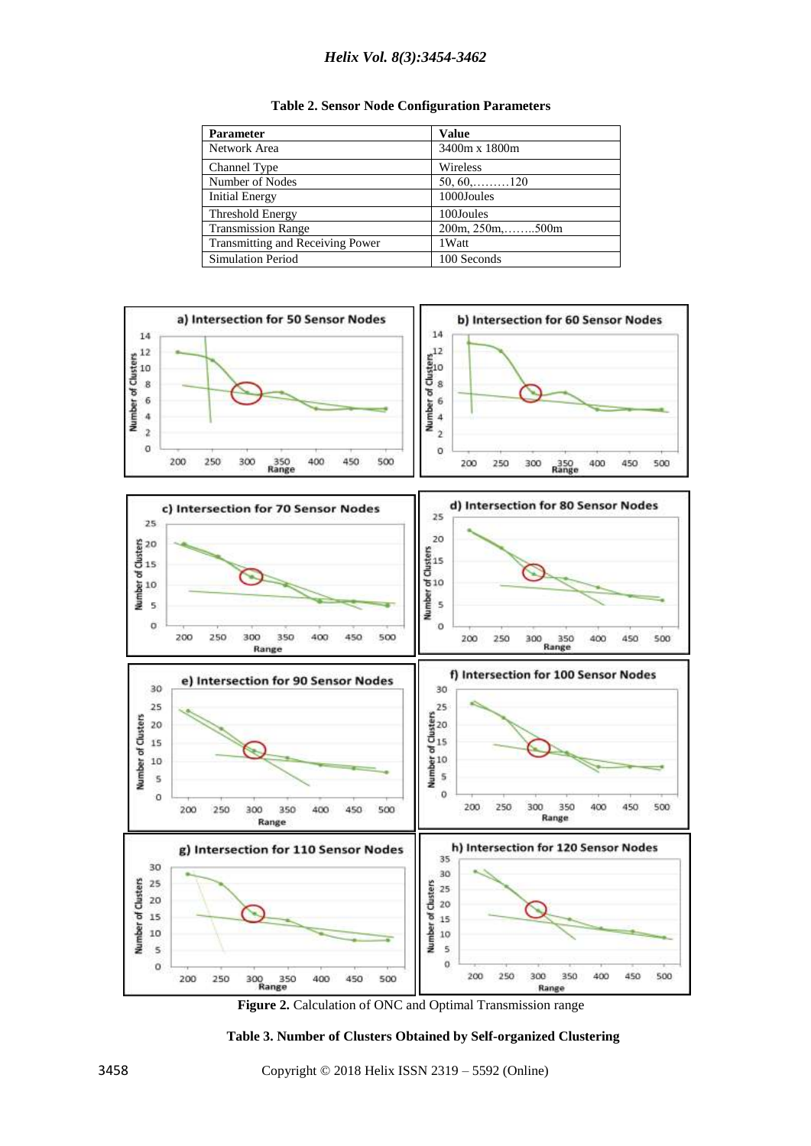## *Helix Vol. 8(3):3454-3462*

|  |  |  | <b>Table 2. Sensor Node Configuration Parameters</b> |  |
|--|--|--|------------------------------------------------------|--|
|--|--|--|------------------------------------------------------|--|

| <b>Parameter</b>                        | <b>Value</b>               |
|-----------------------------------------|----------------------------|
| Network Area                            | 3400m x 1800m              |
| Channel Type                            | Wireless                   |
| Number of Nodes                         | $50, 60, \ldots, 120$      |
| <b>Initial Energy</b>                   | 1000Joules                 |
| Threshold Energy                        | 100Joules                  |
| <b>Transmission Range</b>               | $200m, 250m, \ldots, 500m$ |
| <b>Transmitting and Receiving Power</b> | 1 Watt                     |
| <b>Simulation Period</b>                | 100 Seconds                |



**Figure 2.** Calculation of ONC and Optimal Transmission range

**Table 3. Number of Clusters Obtained by Self-organized Clustering**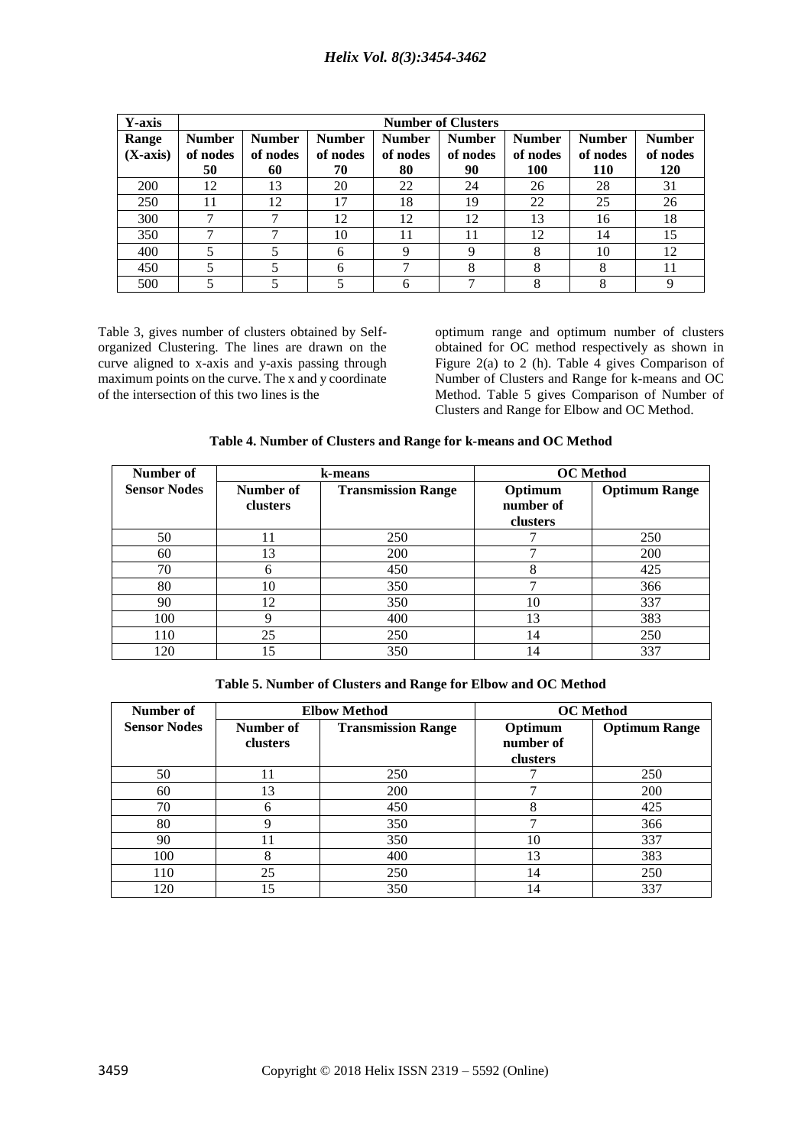| Y-axis              |                                 | <b>Number of Clusters</b>       |                                 |                                 |                                 |                                  |                                  |                                  |
|---------------------|---------------------------------|---------------------------------|---------------------------------|---------------------------------|---------------------------------|----------------------------------|----------------------------------|----------------------------------|
| Range<br>$(X-axis)$ | <b>Number</b><br>of nodes<br>50 | <b>Number</b><br>of nodes<br>60 | <b>Number</b><br>of nodes<br>70 | <b>Number</b><br>of nodes<br>80 | <b>Number</b><br>of nodes<br>90 | <b>Number</b><br>of nodes<br>100 | <b>Number</b><br>of nodes<br>110 | <b>Number</b><br>of nodes<br>120 |
| 200                 | 12                              | 13                              | 20                              | 22                              | 24                              | 26                               | 28                               | 31                               |
| 250                 | 11                              | 12                              | 17                              | 18                              | 19                              | 22                               | 25                               | 26                               |
| 300                 | ⇁                               | 7                               | 12                              | 12                              | 12                              | 13                               | 16                               | 18                               |
| 350                 |                                 | ┑                               | 10                              | 11                              | 11                              | 12                               | 14                               | 15                               |
| 400                 |                                 | 5                               | 6                               | Q                               | Q                               | 8                                | 10                               | 12                               |
| 450                 |                                 | 5                               | 6                               |                                 | 8                               | 8                                | 8                                | 11                               |
| 500                 |                                 |                                 | 5                               | 6                               |                                 | 8                                | 8                                | Q                                |

Table 3, gives number of clusters obtained by Selforganized Clustering. The lines are drawn on the curve aligned to x-axis and y-axis passing through maximum points on the curve. The x and y coordinate of the intersection of this two lines is the

optimum range and optimum number of clusters obtained for OC method respectively as shown in Figure 2(a) to 2 (h). Table 4 gives Comparison of Number of Clusters and Range for k-means and OC Method. Table 5 gives Comparison of Number of Clusters and Range for Elbow and OC Method.

|  |  | Table 4. Number of Clusters and Range for k-means and OC Method |  |
|--|--|-----------------------------------------------------------------|--|
|  |  |                                                                 |  |

| Number of           | k-means   |                           | <b>OC</b> Method |                      |  |
|---------------------|-----------|---------------------------|------------------|----------------------|--|
| <b>Sensor Nodes</b> | Number of | <b>Transmission Range</b> | Optimum          | <b>Optimum Range</b> |  |
|                     | clusters  |                           | number of        |                      |  |
|                     |           |                           | clusters         |                      |  |
| 50                  |           | 250                       |                  | 250                  |  |
| 60                  | 13        | 200                       |                  | 200                  |  |
| 70                  | 6         | 450                       | 8                | 425                  |  |
| 80                  | 10        | 350                       | ┑                | 366                  |  |
| 90                  | 12        | 350                       | 10               | 337                  |  |
| 100                 | Q         | 400                       | 13               | 383                  |  |
| 110                 | 25        | 250                       | 14               | 250                  |  |
| 120                 | 15        | 350                       | 14               | 337                  |  |

**Table 5. Number of Clusters and Range for Elbow and OC Method**

| Number of           | <b>Elbow Method</b>                    |     |           | <b>OC</b> Method     |
|---------------------|----------------------------------------|-----|-----------|----------------------|
| <b>Sensor Nodes</b> | Number of<br><b>Transmission Range</b> |     | Optimum   | <b>Optimum Range</b> |
|                     | clusters                               |     | number of |                      |
|                     |                                        |     | clusters  |                      |
| 50                  | 11                                     | 250 |           | 250                  |
| 60                  | 13                                     | 200 |           | 200                  |
| 70                  | 6                                      | 450 | 8         | 425                  |
| 80                  | q                                      | 350 | ┑         | 366                  |
| 90                  | 11                                     | 350 | 10        | 337                  |
| 100                 | 8                                      | 400 | 13        | 383                  |
| 110                 | 25                                     | 250 | 14        | 250                  |
| 120                 | 15                                     | 350 | 14        | 337                  |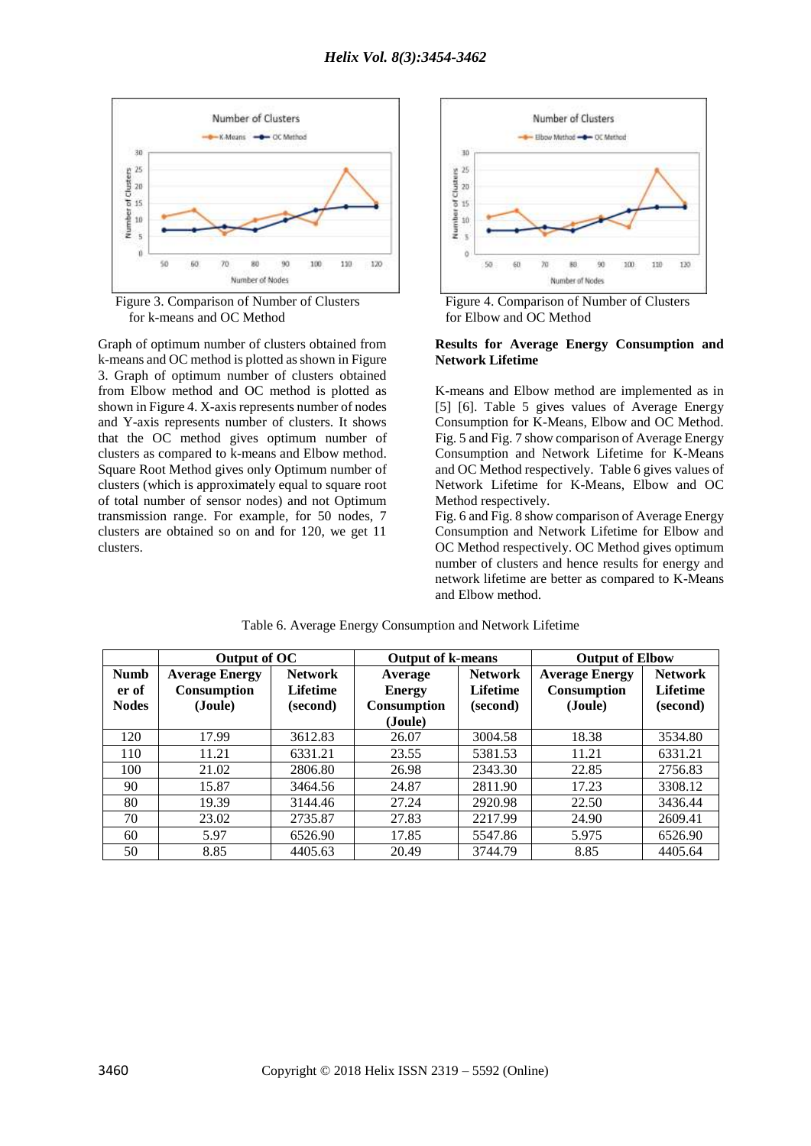

Figure 3. Comparison of Number of Clusters Figure 4. Comparison of Number of Clusters for k-means and OC Method for Elbow and OC Method

Graph of optimum number of clusters obtained from k-means and OC method is plotted as shown in Figure 3. Graph of optimum number of clusters obtained from Elbow method and OC method is plotted as shown in Figure 4. X-axis represents number of nodes and Y-axis represents number of clusters. It shows that the OC method gives optimum number of clusters as compared to k-means and Elbow method. Square Root Method gives only Optimum number of clusters (which is approximately equal to square root of total number of sensor nodes) and not Optimum transmission range. For example, for 50 nodes, 7 clusters are obtained so on and for 120, we get 11 clusters.



#### **Results for Average Energy Consumption and Network Lifetime**

K-means and Elbow method are implemented as in [5] [6]. Table 5 gives values of Average Energy Consumption for K-Means, Elbow and OC Method. Fig. 5 and Fig. 7 show comparison of Average Energy Consumption and Network Lifetime for K-Means and OC Method respectively. Table 6 gives values of Network Lifetime for K-Means, Elbow and OC Method respectively.

Fig. 6 and Fig. 8 show comparison of Average Energy Consumption and Network Lifetime for Elbow and OC Method respectively. OC Method gives optimum number of clusters and hence results for energy and network lifetime are better as compared to K-Means and Elbow method.

|              | Output of OC          |                 |                    | <b>Output of k-means</b> |                       | <b>Output of Elbow</b> |
|--------------|-----------------------|-----------------|--------------------|--------------------------|-----------------------|------------------------|
| <b>Numb</b>  | <b>Average Energy</b> | <b>Network</b>  | Average            | <b>Network</b>           | <b>Average Energy</b> | <b>Network</b>         |
| er of        | <b>Consumption</b>    | <b>Lifetime</b> | <b>Energy</b>      | <b>Lifetime</b>          | <b>Consumption</b>    | <b>Lifetime</b>        |
| <b>Nodes</b> | (Joule)               | (second)        | <b>Consumption</b> | (second)                 | (Joule)               | (second)               |
|              |                       |                 | (Joule)            |                          |                       |                        |
| 120          | 17.99                 | 3612.83         | 26.07              | 3004.58                  | 18.38                 | 3534.80                |
| 110          | 11.21                 | 6331.21         | 23.55              | 5381.53                  | 11.21                 | 6331.21                |
| 100          | 21.02                 | 2806.80         | 26.98              | 2343.30                  | 22.85                 | 2756.83                |
| 90           | 15.87                 | 3464.56         | 24.87              | 2811.90                  | 17.23                 | 3308.12                |
| 80           | 19.39                 | 3144.46         | 27.24              | 2920.98                  | 22.50                 | 3436.44                |
| 70           | 23.02                 | 2735.87         | 27.83              | 2217.99                  | 24.90                 | 2609.41                |
| 60           | 5.97                  | 6526.90         | 17.85              | 5547.86                  | 5.975                 | 6526.90                |
| 50           | 8.85                  | 4405.63         | 20.49              | 3744.79                  | 8.85                  | 4405.64                |

Table 6. Average Energy Consumption and Network Lifetime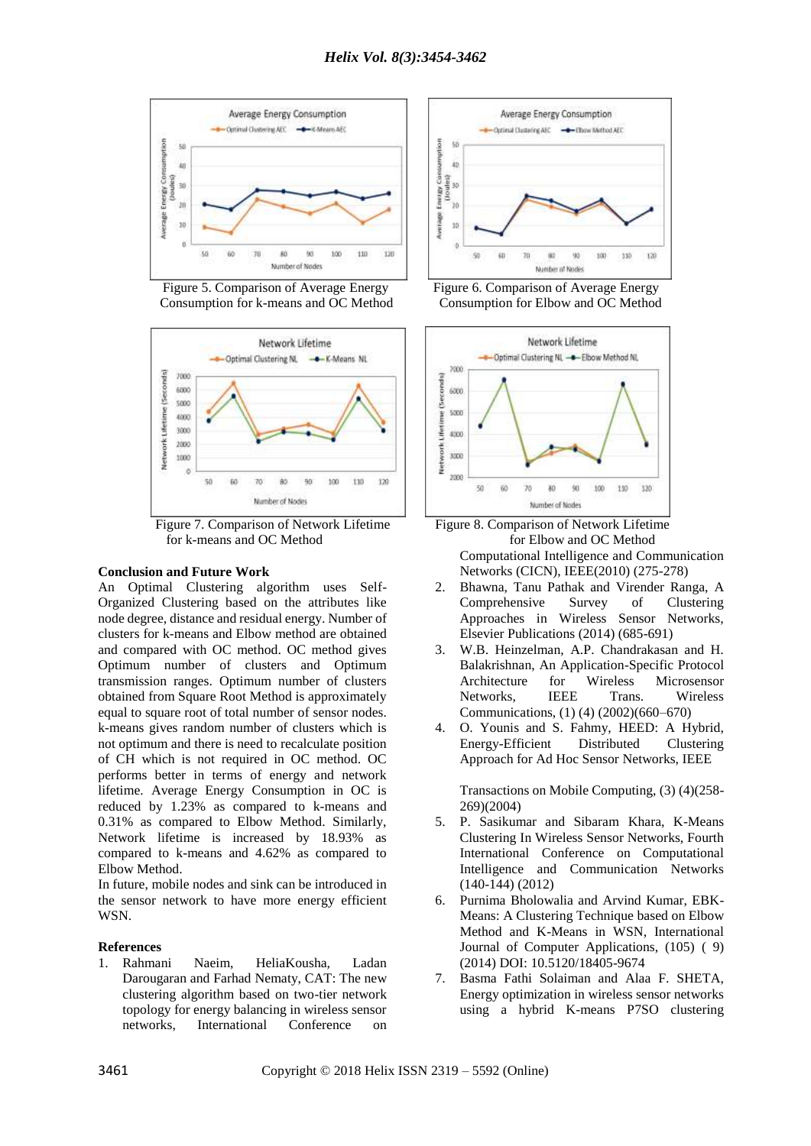

Figure 5. Comparison of Average Energy Figure 6. Comparison of Average Energy Consumption for k-means and OC Method Consumption for Elbow and OC Method



Figure 7. Comparison of Network Lifetime Figure 8. Comparison of Network Lifetime for k-means and OC Method for Elbow and OC Method

#### **Conclusion and Future Work**

An Optimal Clustering algorithm uses Self-Organized Clustering based on the attributes like node degree, distance and residual energy. Number of clusters for k-means and Elbow method are obtained and compared with OC method. OC method gives Optimum number of clusters and Optimum transmission ranges. Optimum number of clusters obtained from Square Root Method is approximately equal to square root of total number of sensor nodes. k-means gives random number of clusters which is not optimum and there is need to recalculate position of CH which is not required in OC method. OC performs better in terms of energy and network lifetime. Average Energy Consumption in OC is reduced by 1.23% as compared to k-means and 0.31% as compared to Elbow Method. Similarly, Network lifetime is increased by 18.93% as compared to k-means and 4.62% as compared to Elbow Method.

In future, mobile nodes and sink can be introduced in the sensor network to have more energy efficient WSN.

#### **References**

1. Rahmani Naeim, HeliaKousha, Ladan Darougaran and Farhad Nematy, CAT: The new clustering algorithm based on two-tier network topology for energy balancing in wireless sensor networks, International Conference on





Computational Intelligence and Communication Networks (CICN), IEEE(2010) (275-278)

- 2. Bhawna, Tanu Pathak and Virender Ranga, A Comprehensive Survey of Clustering Approaches in Wireless Sensor Networks, Elsevier Publications (2014) (685-691)
- 3. W.B. Heinzelman, A.P. Chandrakasan and H. Balakrishnan, An Application-Specific Protocol Architecture for Wireless Microsensor Networks, IEEE Trans. Wireless Communications, (1) (4) (2002)(660–670)
- 4. O. Younis and S. Fahmy, HEED: A Hybrid, Energy-Efficient Distributed Clustering Approach for Ad Hoc Sensor Networks, IEEE

Transactions on Mobile Computing, (3) (4)(258- 269)(2004)

- 5. P. Sasikumar and Sibaram Khara, K-Means Clustering In Wireless Sensor Networks, Fourth International Conference on Computational Intelligence and Communication Networks (140-144) [\(2012\)](http://ieeexplore.ieee.org/xpl/mostRecentIssue.jsp?punumber=6374357)
- 6. Purnima Bholowalia and Arvind Kumar, EBK-Means: A Clustering Technique based on Elbow Method and K-Means in WSN, International Journal of Computer Applications, (105) ( 9) (2014) DOI: 10.5120/18405-9674
- 7. Basma Fathi Solaiman and Alaa F. SHETA, Energy optimization in wireless sensor networks using a hybrid K-means P7SO clustering